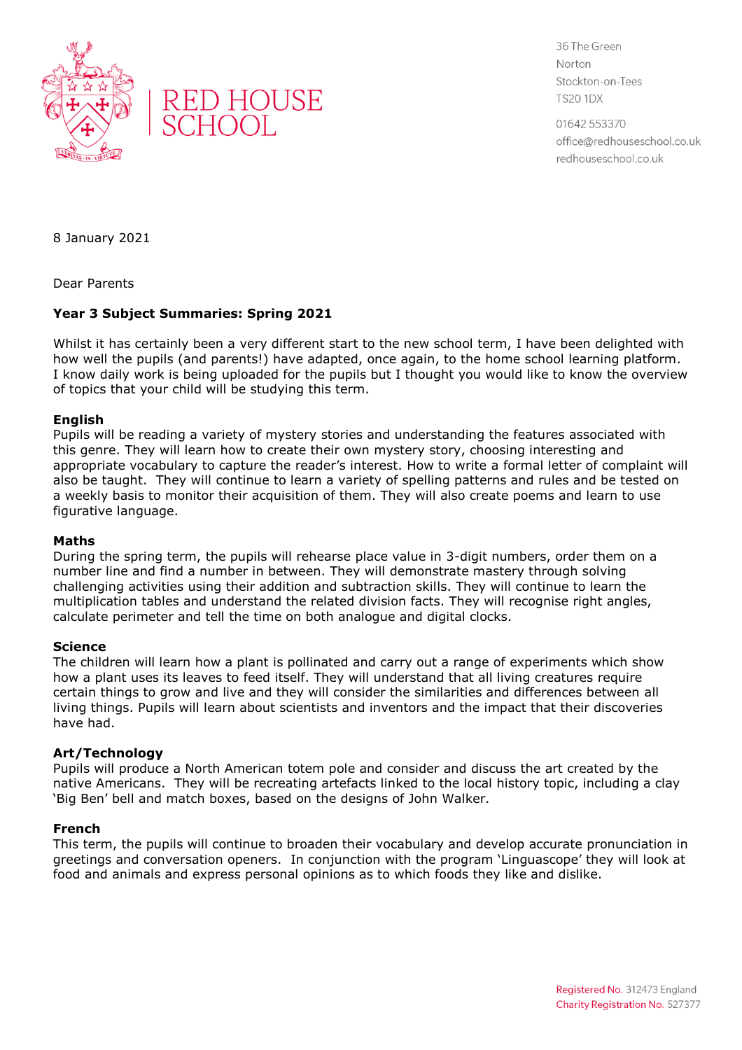



36 The Green Norton Stockton-on-Tees **TS20 1DX** 

01642 553370 office@redhouseschool.co.uk redhouseschool.co.uk

8 January 2021

Dear Parents

# **Year 3 Subject Summaries: Spring 2021**

Whilst it has certainly been a very different start to the new school term, I have been delighted with how well the pupils (and parents!) have adapted, once again, to the home school learning platform. I know daily work is being uploaded for the pupils but I thought you would like to know the overview of topics that your child will be studying this term.

## **English**

Pupils will be reading a variety of mystery stories and understanding the features associated with this genre. They will learn how to create their own mystery story, choosing interesting and appropriate vocabulary to capture the reader's interest. How to write a formal letter of complaint will also be taught. They will continue to learn a variety of spelling patterns and rules and be tested on a weekly basis to monitor their acquisition of them. They will also create poems and learn to use figurative language.

### **Maths**

During the spring term, the pupils will rehearse place value in 3-digit numbers, order them on a number line and find a number in between. They will demonstrate mastery through solving challenging activities using their addition and subtraction skills. They will continue to learn the multiplication tables and understand the related division facts. They will recognise right angles, calculate perimeter and tell the time on both analogue and digital clocks.

### **Science**

The children will learn how a plant is pollinated and carry out a range of experiments which show how a plant uses its leaves to feed itself. They will understand that all living creatures require certain things to grow and live and they will consider the similarities and differences between all living things. Pupils will learn about scientists and inventors and the impact that their discoveries have had.

### **Art/Technology**

Pupils will produce a North American totem pole and consider and discuss the art created by the native Americans. They will be recreating artefacts linked to the local history topic, including a clay 'Big Ben' bell and match boxes, based on the designs of John Walker.

### **French**

This term, the pupils will continue to broaden their vocabulary and develop accurate pronunciation in greetings and conversation openers. In conjunction with the program 'Linguascope' they will look at food and animals and express personal opinions as to which foods they like and dislike.